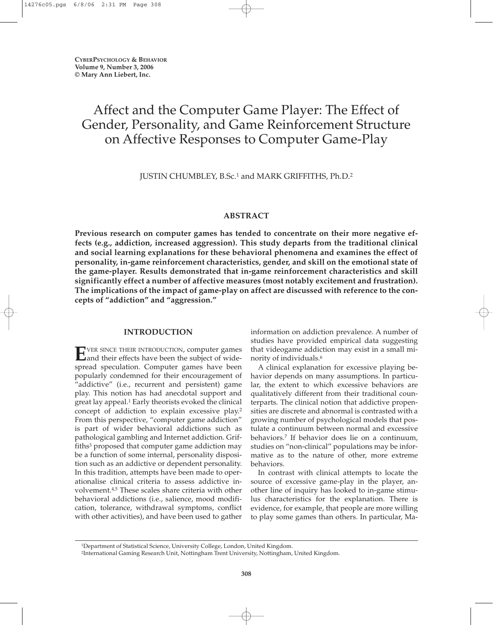# Affect and the Computer Game Player: The Effect of Gender, Personality, and Game Reinforcement Structure on Affective Responses to Computer Game-Play

JUSTIN CHUMBLEY, B.Sc.1 and MARK GRIFFITHS, Ph.D.2

# **ABSTRACT**

**Previous research on computer games has tended to concentrate on their more negative effects (e.g., addiction, increased aggression). This study departs from the traditional clinical and social learning explanations for these behavioral phenomena and examines the effect of personality, in-game reinforcement characteristics, gender, and skill on the emotional state of the game-player. Results demonstrated that in-game reinforcement characteristics and skill significantly effect a number of affective measures (most notably excitement and frustration). The implications of the impact of game-play on affect are discussed with reference to the concepts of "addiction" and "aggression."**

# **INTRODUCTION**

**EVER SINCE THEIR INTRODUCTION, computer games**<br>
and their effects have been the subject of widespread speculation. Computer games have been popularly condemned for their encouragement of "addictive" (i.e., recurrent and persistent) game play. This notion has had anecdotal support and great lay appeal.1 Early theorists evoked the clinical concept of addiction to explain excessive play.2 From this perspective, "computer game addiction" is part of wider behavioral addictions such as pathological gambling and Internet addiction. Griffiths<sup>3</sup> proposed that computer game addiction may be a function of some internal, personality disposition such as an addictive or dependent personality. In this tradition, attempts have been made to operationalise clinical criteria to assess addictive involvement.4,5 These scales share criteria with other behavioral addictions (i.e., salience, mood modification, tolerance, withdrawal symptoms, conflict with other activities), and have been used to gather

information on addiction prevalence. A number of studies have provided empirical data suggesting that videogame addiction may exist in a small minority of individuals.6

A clinical explanation for excessive playing behavior depends on many assumptions. In particular, the extent to which excessive behaviors are qualitatively different from their traditional counterparts. The clinical notion that addictive propensities are discrete and abnormal is contrasted with a growing number of psychological models that postulate a continuum between normal and excessive behaviors.7 If behavior does lie on a continuum, studies on "non-clinical" populations may be informative as to the nature of other, more extreme behaviors.

In contrast with clinical attempts to locate the source of excessive game-play in the player, another line of inquiry has looked to in-game stimulus characteristics for the explanation. There is evidence, for example, that people are more willing to play some games than others. In particular, Ma-

<sup>&</sup>lt;sup>1</sup>Department of Statistical Science, University College, London, United Kingdom.

<sup>2</sup>International Gaming Research Unit, Nottingham Trent University, Nottingham, United Kingdom.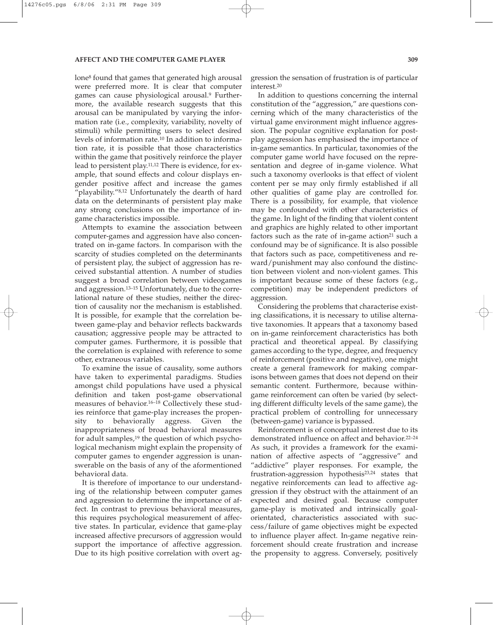lone8 found that games that generated high arousal were preferred more. It is clear that computer games can cause physiological arousal.9 Furthermore, the available research suggests that this arousal can be manipulated by varying the information rate (i.e., complexity, variability, novelty of stimuli) while permitting users to select desired levels of information rate.10 In addition to information rate, it is possible that those characteristics within the game that positively reinforce the player lead to persistent play.11,12 There is evidence, for example, that sound effects and colour displays engender positive affect and increase the games "playability."8,12 Unfortunately the dearth of hard data on the determinants of persistent play make any strong conclusions on the importance of ingame characteristics impossible.

Attempts to examine the association between computer-games and aggression have also concentrated on in-game factors. In comparison with the scarcity of studies completed on the determinants of persistent play, the subject of aggression has received substantial attention. A number of studies suggest a broad correlation between videogames and aggression.13–15 Unfortunately, due to the correlational nature of these studies, neither the direction of causality nor the mechanism is established. It is possible, for example that the correlation between game-play and behavior reflects backwards causation; aggressive people may be attracted to computer games. Furthermore, it is possible that the correlation is explained with reference to some other, extraneous variables.

To examine the issue of causality, some authors have taken to experimental paradigms. Studies amongst child populations have used a physical definition and taken post-game observational measures of behavior.16–18 Collectively these studies reinforce that game-play increases the propensity to behaviorally aggress. Given the inappropriateness of broad behavioral measures for adult samples,<sup>19</sup> the question of which psychological mechanism might explain the propensity of computer games to engender aggression is unanswerable on the basis of any of the aformentioned behavioral data.

It is therefore of importance to our understanding of the relationship between computer games and aggression to determine the importance of affect. In contrast to previous behavioral measures, this requires psychological measurement of affective states. In particular, evidence that game-play increased affective precursors of aggression would support the importance of affective aggression. Due to its high positive correlation with overt aggression the sensation of frustration is of particular interest.20

In addition to questions concerning the internal constitution of the "aggression," are questions concerning which of the many characteristics of the virtual game environment might influence aggression. The popular cognitive explanation for postplay aggression has emphasised the importance of in-game semantics. In particular, taxonomies of the computer game world have focused on the representation and degree of in-game violence. What such a taxonomy overlooks is that effect of violent content per se may only firmly established if all other qualities of game play are controlled for. There is a possibility, for example, that violence may be confounded with other characteristics of the game. In light of the finding that violent content and graphics are highly related to other important factors such as the rate of in-game action<sup>21</sup> such a confound may be of significance. It is also possible that factors such as pace, competitiveness and reward/punishment may also confound the distinction between violent and non-violent games. This is important because some of these factors (e.g., competition) may be independent predictors of aggression.

Considering the problems that characterise existing classifications, it is necessary to utilise alternative taxonomies. It appears that a taxonomy based on in-game reinforcement characteristics has both practical and theoretical appeal. By classifying games according to the type, degree, and frequency of reinforcement (positive and negative), one might create a general framework for making comparisons between games that does not depend on their semantic content. Furthermore, because withingame reinforcement can often be varied (by selecting different difficulty levels of the same game), the practical problem of controlling for unnecessary (between-game) variance is bypassed.

Reinforcement is of conceptual interest due to its demonstrated influence on affect and behavior.22–24 As such, it provides a framework for the examination of affective aspects of "aggressive" and "addictive" player responses. For example, the frustration-aggression hypothesis<sup>23,24</sup> states that negative reinforcements can lead to affective aggression if they obstruct with the attainment of an expected and desired goal. Because computer game-play is motivated and intrinsically goalorientated, characteristics associated with success/failure of game objectives might be expected to influence player affect. In-game negative reinforcement should create frustration and increase the propensity to aggress. Conversely, positively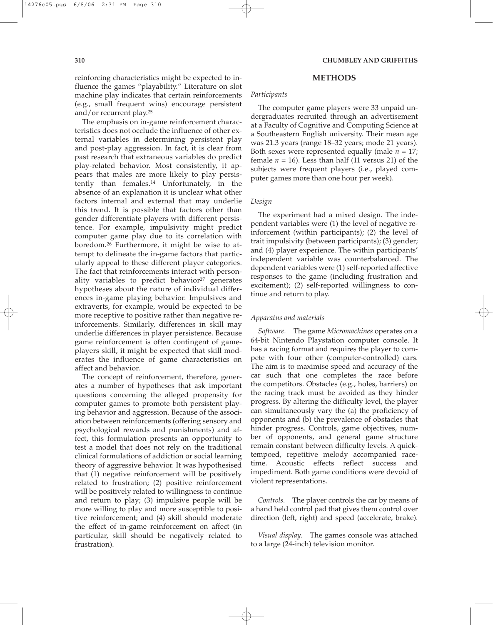reinforcing characteristics might be expected to influence the games "playability." Literature on slot machine play indicates that certain reinforcements (e.g., small frequent wins) encourage persistent and/or recurrent play.25

The emphasis on in-game reinforcement characteristics does not occlude the influence of other external variables in determining persistent play and post-play aggression. In fact, it is clear from past research that extraneous variables do predict play-related behavior. Most consistently, it appears that males are more likely to play persistently than females.14 Unfortunately, in the absence of an explanation it is unclear what other factors internal and external that may underlie this trend. It is possible that factors other than gender differentiate players with different persistence. For example, impulsivity might predict computer game play due to its correlation with boredom.26 Furthermore, it might be wise to attempt to delineate the in-game factors that particularly appeal to these different player categories. The fact that reinforcements interact with personality variables to predict behavior<sup>27</sup> generates hypotheses about the nature of individual differences in-game playing behavior. Impulsives and extraverts, for example, would be expected to be more receptive to positive rather than negative reinforcements. Similarly, differences in skill may underlie differences in player persistence. Because game reinforcement is often contingent of gameplayers skill, it might be expected that skill moderates the influence of game characteristics on affect and behavior.

The concept of reinforcement, therefore, generates a number of hypotheses that ask important questions concerning the alleged propensity for computer games to promote both persistent playing behavior and aggression. Because of the association between reinforcements (offering sensory and psychological rewards and punishments) and affect, this formulation presents an opportunity to test a model that does not rely on the traditional clinical formulations of addiction or social learning theory of aggressive behavior. It was hypothesised that (1) negative reinforcement will be positively related to frustration; (2) positive reinforcement will be positively related to willingness to continue and return to play; (3) impulsive people will be more willing to play and more susceptible to positive reinforcement; and (4) skill should moderate the effect of in-game reinforcement on affect (in particular, skill should be negatively related to frustration).

## **METHODS**

## *Participants*

The computer game players were 33 unpaid undergraduates recruited through an advertisement at a Faculty of Cognitive and Computing Science at a Southeastern English university. Their mean age was 21.3 years (range 18–32 years; mode 21 years). Both sexes were represented equally (male  $n = 17$ ; female  $n = 16$ ). Less than half (11 versus 21) of the subjects were frequent players (i.e., played computer games more than one hour per week).

## *Design*

The experiment had a mixed design. The independent variables were (1) the level of negative reinforcement (within participants); (2) the level of trait impulsivity (between participants); (3) gender; and (4) player experience. The within participants' independent variable was counterbalanced. The dependent variables were (1) self-reported affective responses to the game (including frustration and excitement); (2) self-reported willingness to continue and return to play.

#### *Apparatus and materials*

*Software.* The game *Micromachines* operates on a 64-bit Nintendo Playstation computer console. It has a racing format and requires the player to compete with four other (computer-controlled) cars. The aim is to maximise speed and accuracy of the car such that one completes the race before the competitors. Obstacles (e.g., holes, barriers) on the racing track must be avoided as they hinder progress. By altering the difficulty level, the player can simultaneously vary the (a) the proficiency of opponents and (b) the prevalence of obstacles that hinder progress. Controls, game objectives, number of opponents, and general game structure remain constant between difficulty levels. A quicktempoed, repetitive melody accompanied racetime. Acoustic effects reflect success and impediment. Both game conditions were devoid of violent representations.

*Controls.* The player controls the car by means of a hand held control pad that gives them control over direction (left, right) and speed (accelerate, brake).

*Visual display.* The games console was attached to a large (24-inch) television monitor.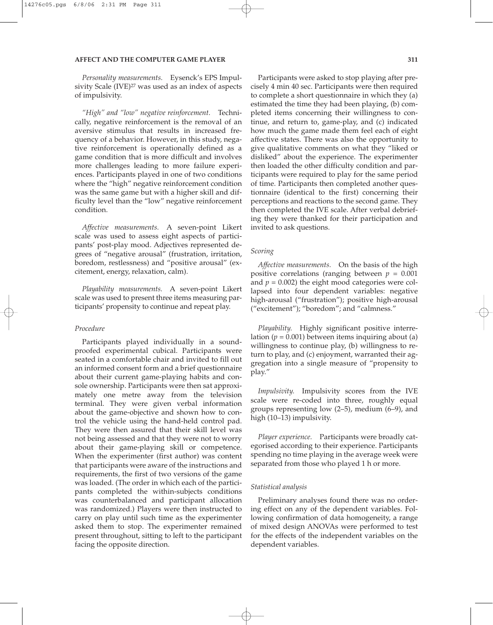#### **AFFECT AND THE COMPUTER GAME PLAYER 311**

*Personality measurements.* Eysenck's EPS Impulsivity Scale (IVE)<sup>27</sup> was used as an index of aspects of impulsivity.

*"High" and "low" negative reinforcement.* Technically, negative reinforcement is the removal of an aversive stimulus that results in increased frequency of a behavior. However, in this study, negative reinforcement is operationally defined as a game condition that is more difficult and involves more challenges leading to more failure experiences. Participants played in one of two conditions where the "high" negative reinforcement condition was the same game but with a higher skill and difficulty level than the "low" negative reinforcement condition.

*Affective measurements.* A seven-point Likert scale was used to assess eight aspects of participants' post-play mood. Adjectives represented degrees of "negative arousal" (frustration, irritation, boredom, restlessness) and "positive arousal" (excitement, energy, relaxation, calm).

*Playability measurements.* A seven-point Likert scale was used to present three items measuring participants' propensity to continue and repeat play.

#### *Procedure*

Participants played individually in a soundproofed experimental cubical. Participants were seated in a comfortable chair and invited to fill out an informed consent form and a brief questionnaire about their current game-playing habits and console ownership. Participants were then sat approximately one metre away from the television terminal. They were given verbal information about the game-objective and shown how to control the vehicle using the hand-held control pad. They were then assured that their skill level was not being assessed and that they were not to worry about their game-playing skill or competence. When the experimenter (first author) was content that participants were aware of the instructions and requirements, the first of two versions of the game was loaded. (The order in which each of the participants completed the within-subjects conditions was counterbalanced and participant allocation was randomized.) Players were then instructed to carry on play until such time as the experimenter asked them to stop. The experimenter remained present throughout, sitting to left to the participant facing the opposite direction.

Participants were asked to stop playing after precisely 4 min 40 sec. Participants were then required to complete a short questionnaire in which they (a) estimated the time they had been playing, (b) completed items concerning their willingness to continue, and return to, game-play, and (c) indicated how much the game made them feel each of eight affective states. There was also the opportunity to give qualitative comments on what they "liked or disliked" about the experience. The experimenter then loaded the other difficulty condition and participants were required to play for the same period of time. Participants then completed another questionnaire (identical to the first) concerning their perceptions and reactions to the second game. They then completed the IVE scale. After verbal debriefing they were thanked for their participation and invited to ask questions.

#### *Scoring*

*Affective measurements.* On the basis of the high positive correlations (ranging between  $p = 0.001$ and  $p = 0.002$ ) the eight mood categories were collapsed into four dependent variables: negative high-arousal ("frustration"); positive high-arousal ("excitement"); "boredom"; and "calmness."

*Playability.* Highly significant positive interrelation ( $p = 0.001$ ) between items inquiring about (a) willingness to continue play, (b) willingness to return to play, and (c) enjoyment, warranted their aggregation into a single measure of "propensity to play."

*Impulsivity.* Impulsivity scores from the IVE scale were re-coded into three, roughly equal groups representing low (2–5), medium (6–9), and high (10–13) impulsivity.

*Player experience.* Participants were broadly categorised according to their experience. Participants spending no time playing in the average week were separated from those who played 1 h or more.

#### *Statistical analysis*

Preliminary analyses found there was no ordering effect on any of the dependent variables. Following confirmation of data homogeneity, a range of mixed design ANOVAs were performed to test for the effects of the independent variables on the dependent variables.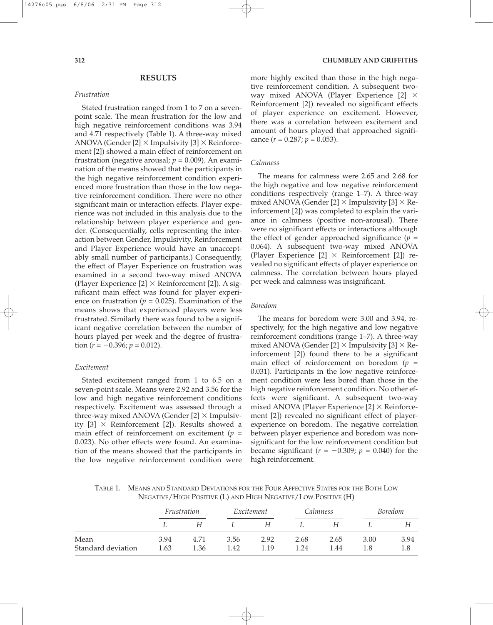# **RESULTS**

## *Frustration*

Stated frustration ranged from 1 to 7 on a sevenpoint scale. The mean frustration for the low and high negative reinforcement conditions was 3.94 and 4.71 respectively (Table 1). A three-way mixed ANOVA (Gender [2]  $\times$  Impulsivity [3]  $\times$  Reinforcement [2]) showed a main effect of reinforcement on frustration (negative arousal;  $p = 0.009$ ). An examination of the means showed that the participants in the high negative reinforcement condition experienced more frustration than those in the low negative reinforcement condition. There were no other significant main or interaction effects. Player experience was not included in this analysis due to the relationship between player experience and gender. (Consequentially, cells representing the interaction between Gender, Impulsivity, Reinforcement and Player Experience would have an unacceptably small number of participants.) Consequently, the effect of Player Experience on frustration was examined in a second two-way mixed ANOVA (Player Experience [2]  $\times$  Reinforcement [2]). A significant main effect was found for player experience on frustration ( $p = 0.025$ ). Examination of the means shows that experienced players were less frustrated. Similarly there was found to be a significant negative correlation between the number of hours played per week and the degree of frustration ( $r = -0.396; p = 0.012$ ).

#### *Excitement*

Stated excitement ranged from 1 to 6.5 on a seven-point scale. Means were 2.92 and 3.56 for the low and high negative reinforcement conditions respectively. Excitement was assessed through a three-way mixed ANOVA (Gender  $[2] \times$  Impulsivity  $[3] \times$  Reinforcement [2]). Results showed a main effect of reinforcement on excitement  $(p =$ 0.023). No other effects were found. An examination of the means showed that the participants in the low negative reinforcement condition were more highly excited than those in the high negative reinforcement condition. A subsequent twoway mixed ANOVA (Player Experience [2] Reinforcement [2]) revealed no significant effects of player experience on excitement. However, there was a correlation between excitement and amount of hours played that approached significance  $(r = 0.287; p = 0.053)$ .

# *Calmness*

The means for calmness were 2.65 and 2.68 for the high negative and low negative reinforcement conditions respectively (range 1–7). A three-way mixed ANOVA (Gender [2]  $\times$  Impulsivity [3]  $\times$  Reinforcement [2]) was completed to explain the variance in calmness (positive non-arousal). There were no significant effects or interactions although the effect of gender approached significance  $(p =$ 0.064). A subsequent two-way mixed ANOVA (Player Experience  $[2] \times$  Reinforcement  $[2]$ ) revealed no significant effects of player experience on calmness. The correlation between hours played per week and calmness was insignificant.

# *Boredom*

The means for boredom were 3.00 and 3.94, respectively, for the high negative and low negative reinforcement conditions (range 1–7). A three-way mixed ANOVA (Gender  $[2] \times$  Impulsivity  $[3] \times$  Reinforcement [2]) found there to be a significant main effect of reinforcement on boredom (*p* = 0.031). Participants in the low negative reinforcement condition were less bored than those in the high negative reinforcement condition. No other effects were significant. A subsequent two-way mixed ANOVA (Player Experience  $[2] \times$  Reinforcement [2]) revealed no significant effect of playerexperience on boredom. The negative correlation between player experience and boredom was nonsignificant for the low reinforcement condition but became significant ( $r = -0.309$ ;  $p = 0.040$ ) for the high reinforcement.

TABLE 1. MEANS AND STANDARD DEVIATIONS FOR THE FOUR AFFECTIVE STATES FOR THE BOTH LOW NEGATIVE/HIGH POSITIVE (L) AND HIGH NEGATIVE/LOW POSITIVE (H)

|                            | Frustration  |              | Excitement   |              | Calmness     |              | <i>Boredom</i> |             |
|----------------------------|--------------|--------------|--------------|--------------|--------------|--------------|----------------|-------------|
|                            |              | Н            |              | Н            |              | Н            |                |             |
| Mean<br>Standard deviation | 3.94<br>1.63 | 4.71<br>1.36 | 3.56<br>1.42 | 2.92<br>1.19 | 2.68<br>1.24 | 2.65<br>1.44 | 3.00<br>1.8    | 3.94<br>1.8 |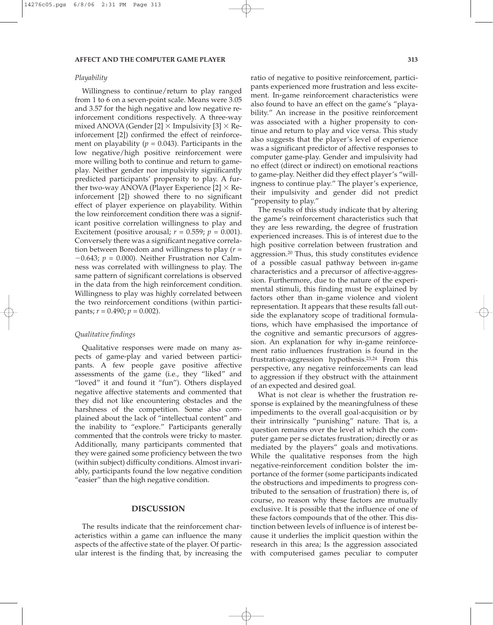#### *Playability*

Willingness to continue/return to play ranged from 1 to 6 on a seven-point scale. Means were 3.05 and 3.57 for the high negative and low negative reinforcement conditions respectively. A three-way mixed ANOVA (Gender  $[2] \times$  Impulsivity  $[3] \times$  Reinforcement [2]) confirmed the effect of reinforcement on playability ( $p = 0.043$ ). Participants in the low negative/high positive reinforcement were more willing both to continue and return to gameplay. Neither gender nor impulsivity significantly predicted participants' propensity to play. A further two-way ANOVA (Player Experience  $[2] \times$  Reinforcement [2]) showed there to no significant effect of player experience on playability. Within the low reinforcement condition there was a significant positive correlation willingness to play and Excitement (positive arousal;  $r = 0.559$ ;  $p = 0.001$ ). Conversely there was a significant negative correlation between Boredom and willingness to play (*r* =  $-0.643$ ;  $p = 0.000$ ). Neither Frustration nor Calmness was correlated with willingness to play. The same pattern of significant correlations is observed in the data from the high reinforcement condition. Willingness to play was highly correlated between the two reinforcement conditions (within participants;  $r = 0.490$ ;  $p = 0.002$ ).

# *Qualitative findings*

Qualitative responses were made on many aspects of game-play and varied between participants. A few people gave positive affective assessments of the game (i.e., they "liked" and "loved" it and found it "fun"). Others displayed negative affective statements and commented that they did not like encountering obstacles and the harshness of the competition. Some also complained about the lack of "intellectual content" and the inability to "explore." Participants generally commented that the controls were tricky to master. Additionally, many participants commented that they were gained some proficiency between the two (within subject) difficulty conditions. Almost invariably, participants found the low negative condition "easier" than the high negative condition.

# **DISCUSSION**

The results indicate that the reinforcement characteristics within a game can influence the many aspects of the affective state of the player. Of particular interest is the finding that, by increasing the ratio of negative to positive reinforcement, participants experienced more frustration and less excitement. In-game reinforcement characteristics were also found to have an effect on the game's "playability." An increase in the positive reinforcement was associated with a higher propensity to continue and return to play and vice versa. This study also suggests that the player's level of experience was a significant predictor of affective responses to computer game-play. Gender and impulsivity had no effect (direct or indirect) on emotional reactions to game-play. Neither did they effect player's "willingness to continue play." The player's experience, their impulsivity and gender did not predict "propensity to play."

The results of this study indicate that by altering the game's reinforcement characteristics such that they are less rewarding, the degree of frustration experienced increases. This is of interest due to the high positive correlation between frustration and aggression.20 Thus, this study constitutes evidence of a possible casual pathway between in-game characteristics and a precursor of affective-aggression. Furthermore, due to the nature of the experimental stimuli, this finding must be explained by factors other than in-game violence and violent representation. It appears that these results fall outside the explanatory scope of traditional formulations, which have emphasised the importance of the cognitive and semantic precursors of aggression. An explanation for why in-game reinforcement ratio influences frustration is found in the frustration-aggression hypothesis.23,24 From this perspective, any negative reinforcements can lead to aggression if they obstruct with the attainment of an expected and desired goal.

What is not clear is whether the frustration response is explained by the meaningfulness of these impediments to the overall goal-acquisition or by their intrinsically "punishing" nature. That is, a question remains over the level at which the computer game per se dictates frustration; directly or as mediated by the players" goals and motivations. While the qualitative responses from the high negative-reinforcement condition bolster the importance of the former (some participants indicated the obstructions and impediments to progress contributed to the sensation of frustration) there is, of course, no reason why these factors are mutually exclusive. It is possible that the influence of one of these factors compounds that of the other. This distinction between levels of influence is of interest because it underlies the implicit question within the research in this area; Is the aggression associated with computerised games peculiar to computer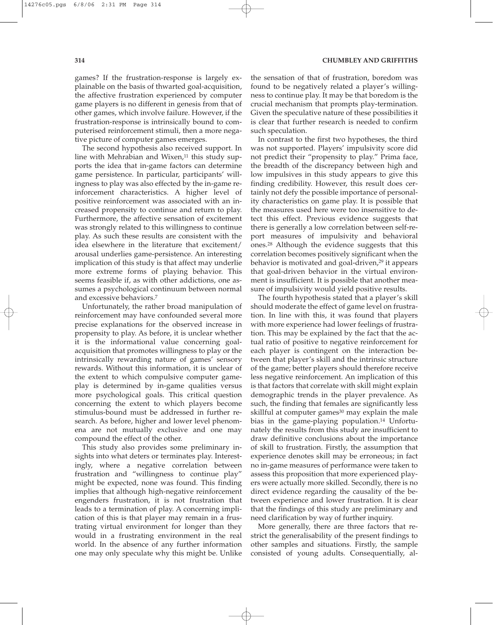games? If the frustration-response is largely explainable on the basis of thwarted goal-acquisition, the affective frustration experienced by computer game players is no different in genesis from that of other games, which involve failure. However, if the frustration-response is intrinsically bound to computerised reinforcement stimuli, then a more negative picture of computer games emerges.

The second hypothesis also received support. In line with Mehrabian and Wixen,<sup>11</sup> this study supports the idea that in-game factors can determine game persistence. In particular, participants' willingness to play was also effected by the in-game reinforcement characteristics. A higher level of positive reinforcement was associated with an increased propensity to continue and return to play. Furthermore, the affective sensation of excitement was strongly related to this willingness to continue play. As such these results are consistent with the idea elsewhere in the literature that excitement/ arousal underlies game-persistence. An interesting implication of this study is that affect may underlie more extreme forms of playing behavior. This seems feasible if, as with other addictions, one assumes a psychological continuum between normal and excessive behaviors.7

Unfortunately, the rather broad manipulation of reinforcement may have confounded several more precise explanations for the observed increase in propensity to play. As before, it is unclear whether it is the informational value concerning goalacquisition that promotes willingness to play or the intrinsically rewarding nature of games' sensory rewards. Without this information, it is unclear of the extent to which compulsive computer gameplay is determined by in-game qualities versus more psychological goals. This critical question concerning the extent to which players become stimulus-bound must be addressed in further research. As before, higher and lower level phenomena are not mutually exclusive and one may compound the effect of the other.

This study also provides some preliminary insights into what deters or terminates play. Interestingly, where a negative correlation between frustration and "willingness to continue play" might be expected, none was found. This finding implies that although high-negative reinforcement engenders frustration, it is not frustration that leads to a termination of play. A concerning implication of this is that player may remain in a frustrating virtual environment for longer than they would in a frustrating environment in the real world. In the absence of any further information one may only speculate why this might be. Unlike the sensation of that of frustration, boredom was found to be negatively related a player's willingness to continue play. It may be that boredom is the crucial mechanism that prompts play-termination. Given the speculative nature of these possibilities it is clear that further research is needed to confirm such speculation.

In contrast to the first two hypotheses, the third was not supported. Players' impulsivity score did not predict their "propensity to play." Prima face, the breadth of the discrepancy between high and low impulsives in this study appears to give this finding credibility. However, this result does certainly not defy the possible importance of personality characteristics on game play. It is possible that the measures used here were too insensitive to detect this effect. Previous evidence suggests that there is generally a low correlation between self-report measures of impulsivity and behavioral ones.28 Although the evidence suggests that this correlation becomes positively significant when the behavior is motivated and goal-driven,<sup>29</sup> it appears that goal-driven behavior in the virtual environment is insufficient. It is possible that another measure of impulsivity would yield positive results.

The fourth hypothesis stated that a player's skill should moderate the effect of game level on frustration. In line with this, it was found that players with more experience had lower feelings of frustration. This may be explained by the fact that the actual ratio of positive to negative reinforcement for each player is contingent on the interaction between that player's skill and the intrinsic structure of the game; better players should therefore receive less negative reinforcement. An implication of this is that factors that correlate with skill might explain demographic trends in the player prevalence. As such, the finding that females are significantly less skillful at computer games<sup>30</sup> may explain the male bias in the game-playing population.14 Unfortunately the results from this study are insufficient to draw definitive conclusions about the importance of skill to frustration. Firstly, the assumption that experience denotes skill may be erroneous; in fact no in-game measures of performance were taken to assess this proposition that more experienced players were actually more skilled. Secondly, there is no direct evidence regarding the causality of the between experience and lower frustration. It is clear that the findings of this study are preliminary and need clarification by way of further inquiry.

More generally, there are three factors that restrict the generalisability of the present findings to other samples and situations. Firstly, the sample consisted of young adults. Consequentially, al-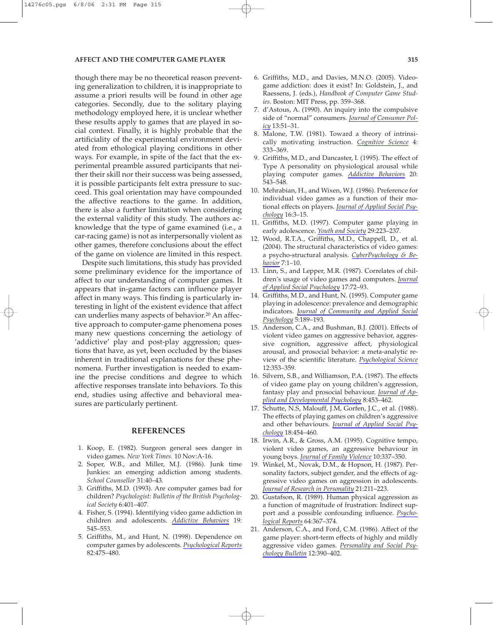#### **AFFECT AND THE COMPUTER GAME PLAYER 315**

though there may be no theoretical reason preventing generalization to children, it is inappropriate to assume a priori results will be found in other age categories. Secondly, due to the solitary playing methodology employed here, it is unclear whether these results apply to games that are played in social context. Finally, it is highly probable that the artificiality of the experimental environment deviated from ethological playing conditions in other ways. For example, in spite of the fact that the experimental preamble assured participants that neither their skill nor their success was being assessed, it is possible participants felt extra pressure to succeed. This goal orientation may have compounded the affective reactions to the game. In addition, there is also a further limitation when considering the external validity of this study. The authors acknowledge that the type of game examined (i.e., a car-racing game) is not as interpersonally violent as other games, therefore conclusions about the effect of the game on violence are limited in this respect.

Despite such limitations, this study has provided some preliminary evidence for the importance of affect to our understanding of computer games. It appears that in-game factors can influence player affect in many ways. This finding is particularly interesting in light of the existent evidence that affect can underlies many aspects of behavior.<sup>20</sup> An affective approach to computer-game phenomena poses many new questions concerning the aetiology of 'addictive' play and post-play aggression; questions that have, as yet, been occluded by the biases inherent in traditional explanations for these phenomena. Further investigation is needed to examine the precise conditions and degree to which affective responses translate into behaviors. To this end, studies using affective and behavioral measures are particularly pertinent.

#### **REFERENCES**

- 1. Koop, E. (1982). Surgeon general sees danger in video games. *New York Times.* 10 Nov:A-16.
- 2. Soper, W.B., and Miller, M.J. (1986). Junk time Junkies: an emerging addiction among students. *School Counsellor* 31:40–43.
- 3. Griffiths, M.D. (1993). Are computer games bad for children? *Psychologist: Bulletin of the British Psychological Society* 6:401–407.
- 4. Fisher, S. (1994). Identifying video game addiction in children and adolescents. *Addictive Behaviors* 19: 545–553.
- 5. Griffiths, M., and Hunt, N. (1998). Dependence on computer games by adolescents. *Psychological Reports* 82:475–480.
- 6. Griffiths, M.D., and Davies, M.N.O. (2005). Videogame addiction: does it exist? In: Goldstein, J., and Raessens, J. (eds.), *Handbook of Computer Game Studies*. Boston: MIT Press, pp. 359–368.
- 7. d'Astous, A. (1990). An inquiry into the compulsive side of "normal" consumers. *Journal of Consumer Policy* 13:51–31.
- 8. Malone, T.W. (1981). Toward a theory of intrinsically motivating instruction. *Cognitive Science* 4: 333–369.
- 9. Griffiths, M.D., and Dancaster, I. (1995). The effect of Type A personality on physiological arousal while playing computer games. *Addictive Behaviors* 20: 543–548.
- 10. Mehrabian, H., and Wixen, W.J. (1986). Preference for individual video games as a function of their motional effects on players. *Journal of Applied Social Psychology* 16:3–15.
- 11. Griffiths, M.D. (1997). Computer game playing in early adolescence. *Youth and Society* 29:223–237.
- 12. Wood, R.T.A., Griffiths, M.D., Chappell, D., et al. (2004). The structural characteristics of video games: a psycho-structural analysis. *CyberPsychology & Behavior* 7:1–10.
- 13. Linn, S., and Lepper, M.R. (1987). Correlates of children's usage of video games and computers. *Journal of Applied Social Psychology* 17:72–93.
- 14. Griffiths, M.D., and Hunt, N. (1995). Computer game playing in adolescence: prevalence and demographic indicators. *Journal of Community and Applied Social Psychology* 5:189–193.
- 15. Anderson, C.A., and Bushman, B.J. (2001). Effects of violent video games on aggressive behavior, aggressive cognition, aggressive affect, physiological arousal, and prosocial behavior: a meta-analytic review of the scientific literature. *Psychological Science* 12:353–359.
- 16. Silvern, S.B., and Williamson, P.A. (1987). The effects of video game play on young children's aggression, fantasy play and prosocial behaviour. *Journal of Applied and Developmental Psychology* 8:453–462.
- 17. Schutte, N.S, Malouff, J.M, Gorfen, J.C., et al. (1988). The effects of playing games on children's aggressive and other behaviours. *Journal of Applied Social Psychology* 18:454–460.
- 18. Irwin, A.R., & Gross, A.M. (1995). Cognitive tempo, violent video games, an aggressive behaviour in young boys. *Journal of Family Violence* 10:337–350.
- 19. Winkel, M., Novak, D.M., & Hopson, H. (1987). Personality factors, subject gender, and the effects of aggressive video games on aggression in adolescents. *Journal of Research in Personality* 21:211–223.
- 20. Gustafson, R. (1989). Human physical aggression as a function of magnitude of frustration: Indirect support and a possible confounding influence. *Psychological Reports* 64:367–374.
- 21. Anderson, C.A., and Ford, C.M. (1986). Affect of the game player: short-term effects of highly and mildly aggressive video games. *Personality and Social Psychology Bulletin* 12:390–402.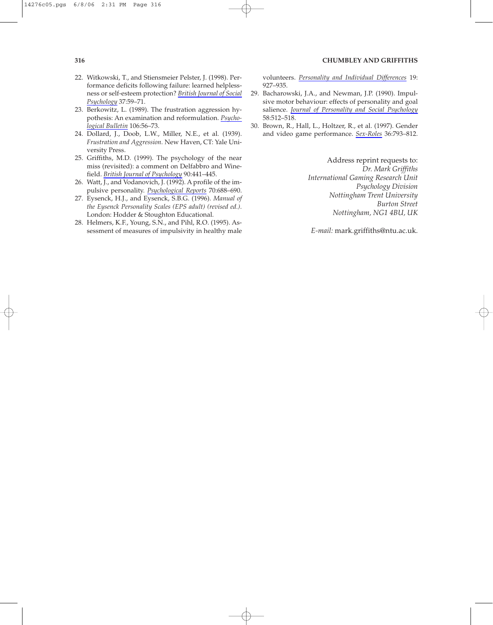- 22. Witkowski, T., and Stiensmeier Pelster, J. (1998). Performance deficits following failure: learned helplessness or self-esteem protection? *British Journal of Social Psychology* 37:59–71.
- 23. Berkowitz, L. (1989). The frustration aggression hypothesis: An examination and reformulation. *Psychological Bulletin* 106:56–73.
- 24. Dollard, J., Doob, L.W., Miller, N.E., et al. (1939). *Frustration and Aggression.* New Haven, CT: Yale University Press.
- 25. Griffiths, M.D. (1999). The psychology of the near miss (revisited): a comment on Delfabbro and Winefield. *British Journal of Psychology* 90:441–445.
- 26. Watt, J., and Vodanovich, J. (1992). A profile of the impulsive personality. *Psychological Reports* 70:688–690.
- 27. Eysenck, H.J., and Eysenck, S.B.G. (1996). *Manual of the Eysenck Personality Scales (EPS adult) (revised ed.).* London: Hodder & Stoughton Educational.
- 28. Helmers, K.F., Young, S.N., and Pihl, R.O. (1995). Assessment of measures of impulsivity in healthy male

volunteers. *Personality and Individual Differences* 19: 927–935.

- 29. Bacharowski, J.A., and Newman, J.P. (1990). Impulsive motor behaviour: effects of personality and goal salience. *Journal of Personality and Social Psychology* 58:512–518.
- 30. Brown, R., Hall, L., Holtzer, R., et al. (1997). Gender and video game performance. *Sex-Roles* 36:793–812.

Address reprint requests to: *Dr. Mark Griffiths International Gaming Research Unit Psychology Division Nottingham Trent University Burton Street Nottingham, NG1 4BU, UK*

*E-mail:* mark.griffiths@ntu.ac.uk.